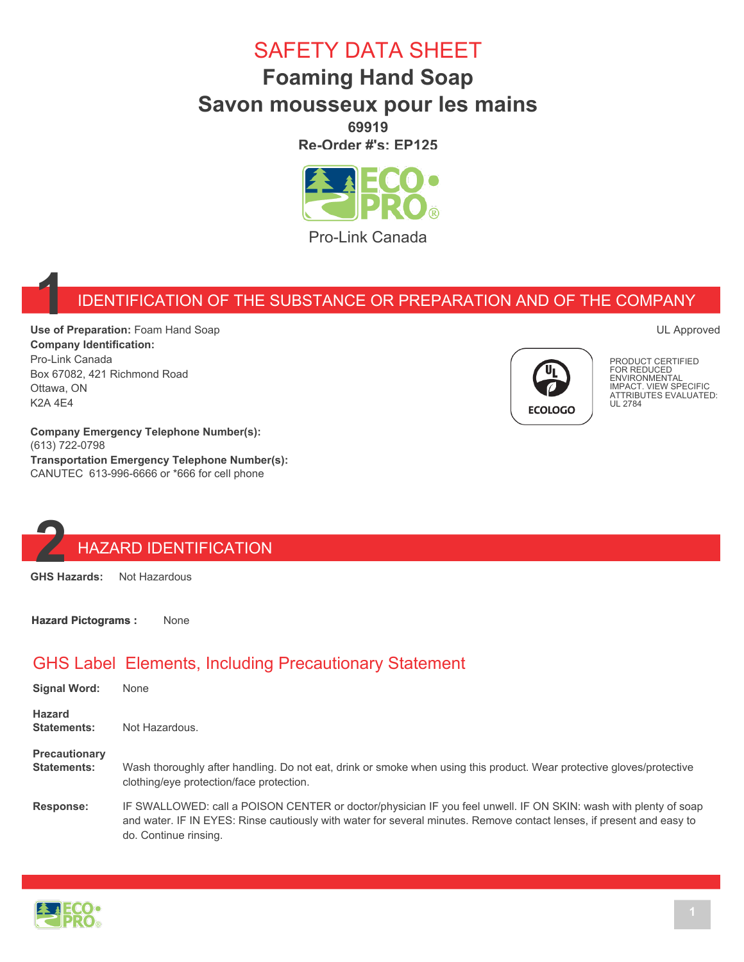# SAFETY DATA SHEET

### **Foaming Hand Soap Savon mousseux pour les mains 69919**

**Re-Order #'s: EP125**



Pro-Link Canada

#### **1** IDENTIFICATION OF THE SUBSTANCE OR PREPARATION AND OF THE COMPANY

**Use of Preparation:** Foam Hand Soap **Company Identification:** Pro-Link Canada Box 67082, 421 Richmond Road Ottawa, ON K2A 4E4



PRODUCT CERTIFIED FOR REDUCED **ENVIRONMENTAL** IMPACT. VIEW SPECIFIC ATTRIBUTES EVALUATED: UL 2784

UL Approved

**Company Emergency Telephone Number(s):** (613) 722-0798 **Transportation Emergency Telephone Number(s):** CANUTEC 613-996-6666 or \*666 for cell phone

# **2** HAZARD IDENTIFICATION<br>GHS Hazards: Not Hazardous

**Not Hazardous** 

**Hazard Pictograms :** None

#### GHS Label Elements, Including Precautionary Statement

| Signal Word:                               | None                                                                                                                                                                                                                                                              |
|--------------------------------------------|-------------------------------------------------------------------------------------------------------------------------------------------------------------------------------------------------------------------------------------------------------------------|
| <b>Hazard</b><br>Statements:               | Not Hazardous.                                                                                                                                                                                                                                                    |
| <b>Precautionary</b><br><b>Statements:</b> | Wash thoroughly after handling. Do not eat, drink or smoke when using this product. Wear protective gloves/protective<br>clothing/eye protection/face protection.                                                                                                 |
| Response:                                  | IF SWALLOWED: call a POISON CENTER or doctor/physician IF you feel unwell. IF ON SKIN: wash with plenty of soap<br>and water. IF IN EYES: Rinse cautiously with water for several minutes. Remove contact lenses, if present and easy to<br>do. Continue rinsing. |

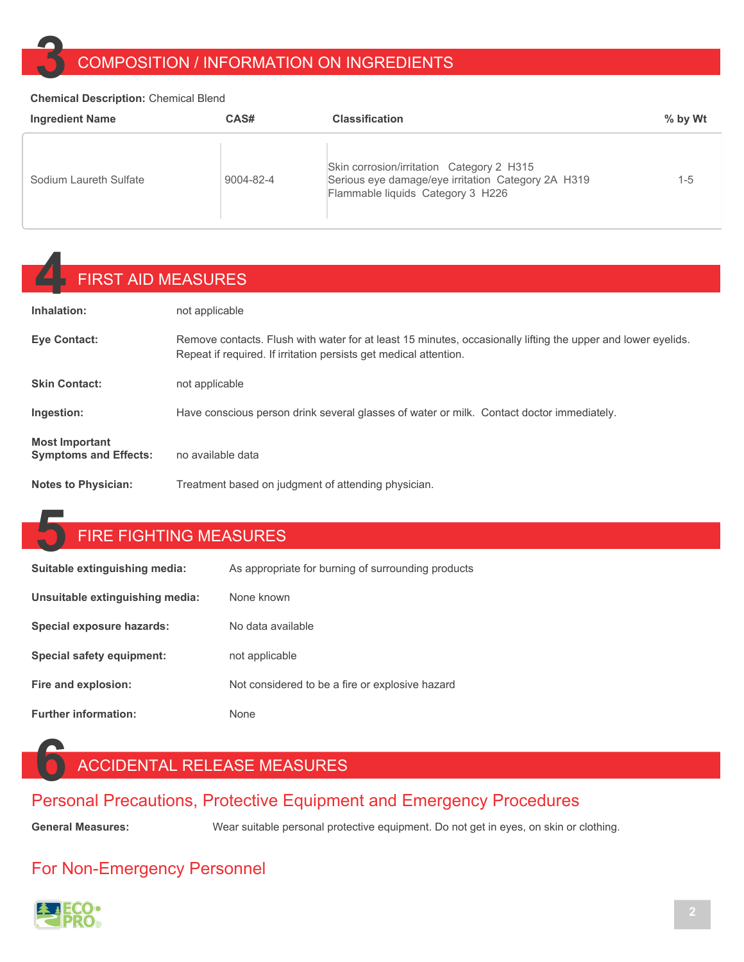# **3** COMPOSITION / INFORMATION ON INGREDIENTS

#### **Chemical Description:** Chemical Blend

| <b>Ingredient Name</b> | CAS#      | <b>Classification</b>                                                                                                                | $%$ by Wt |
|------------------------|-----------|--------------------------------------------------------------------------------------------------------------------------------------|-----------|
| Sodium Laureth Sulfate | 9004-82-4 | Skin corrosion/irritation Category 2 H315<br>Serious eye damage/eye irritation Category 2A H319<br>Flammable liquids Category 3 H226 | $1 - 5$   |

# **4** FIRST AID MEASURES

| Inhalation:                                           | not applicable                                                                                                                                                                    |
|-------------------------------------------------------|-----------------------------------------------------------------------------------------------------------------------------------------------------------------------------------|
| <b>Eye Contact:</b>                                   | Remove contacts. Flush with water for at least 15 minutes, occasionally lifting the upper and lower eyelids.<br>Repeat if required. If irritation persists get medical attention. |
| <b>Skin Contact:</b>                                  | not applicable                                                                                                                                                                    |
| Ingestion:                                            | Have conscious person drink several glasses of water or milk. Contact doctor immediately.                                                                                         |
| <b>Most Important</b><br><b>Symptoms and Effects:</b> | no available data                                                                                                                                                                 |
| <b>Notes to Physician:</b>                            | Treatment based on judgment of attending physician.                                                                                                                               |

#### **5** FIRE FIGHTING MEASURES

| Suitable extinguishing media:   | As appropriate for burning of surrounding products |
|---------------------------------|----------------------------------------------------|
| Unsuitable extinguishing media: | None known                                         |
| Special exposure hazards:       | No data available                                  |
| Special safety equipment:       | not applicable                                     |
| Fire and explosion:             | Not considered to be a fire or explosive hazard    |
| <b>Further information:</b>     | <b>None</b>                                        |

## **6** ACCIDENTAL RELEASE MEASURES

#### Personal Precautions, Protective Equipment and Emergency Procedures

General Measures: **Wear suitable personal protective equipment**. Do not get in eyes, on skin or clothing.

#### For Non-Emergency Personnel

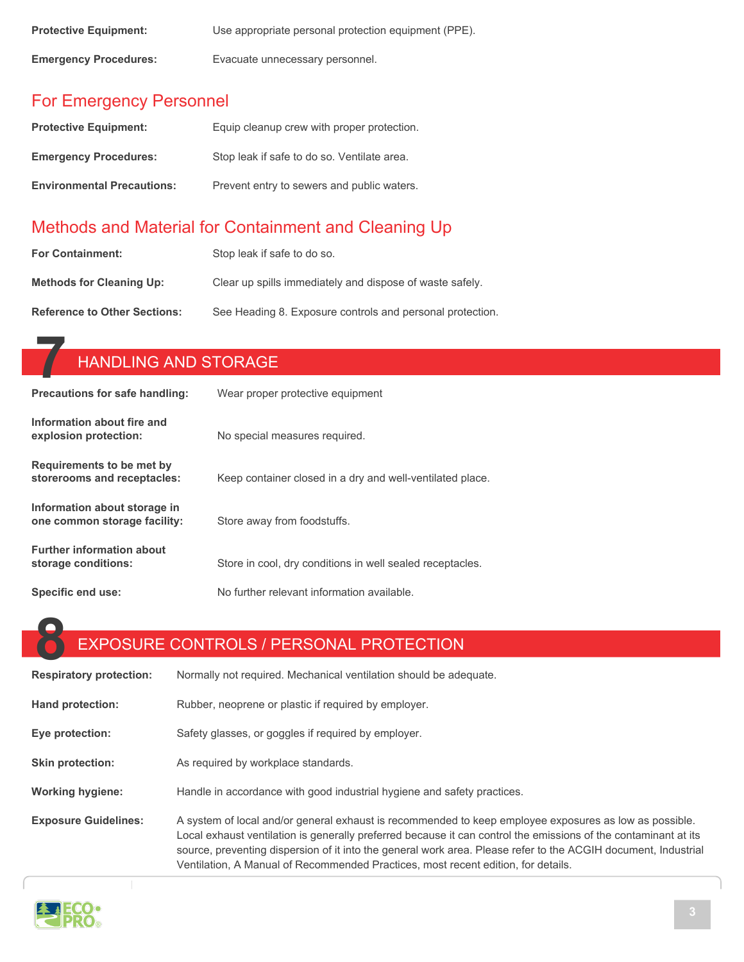| <b>Protective Equipment:</b> | Use appropriate personal protection equipment (PPE). |
|------------------------------|------------------------------------------------------|
| <b>Emergency Procedures:</b> | Evacuate unnecessary personnel.                      |

#### For Emergency Personnel

| <b>Protective Equipment:</b>      | Equip cleanup crew with proper protection.  |
|-----------------------------------|---------------------------------------------|
| <b>Emergency Procedures:</b>      | Stop leak if safe to do so. Ventilate area. |
| <b>Environmental Precautions:</b> | Prevent entry to sewers and public waters.  |

### Methods and Material for Containment and Cleaning Up

| <b>For Containment:</b>             | Stop leak if safe to do so.                               |
|-------------------------------------|-----------------------------------------------------------|
| <b>Methods for Cleaning Up:</b>     | Clear up spills immediately and dispose of waste safely.  |
| <b>Reference to Other Sections:</b> | See Heading 8. Exposure controls and personal protection. |

| <b>HANDLING AND STORAGE</b>                                  |                                                           |  |
|--------------------------------------------------------------|-----------------------------------------------------------|--|
| Precautions for safe handling:                               | Wear proper protective equipment                          |  |
| Information about fire and<br>explosion protection:          | No special measures required.                             |  |
| Requirements to be met by<br>storerooms and receptacles:     | Keep container closed in a dry and well-ventilated place. |  |
| Information about storage in<br>one common storage facility: | Store away from foodstuffs.                               |  |
| <b>Further information about</b><br>storage conditions:      | Store in cool, dry conditions in well sealed receptacles. |  |
| Specific end use:                                            | No further relevant information available.                |  |

# **8** EXPOSURE CONTROLS / PERSONAL PROTECTION

| <b>Respiratory protection:</b> | Normally not required. Mechanical ventilation should be adequate.                                                                                                                                                                                                                                                                                                                                                                |
|--------------------------------|----------------------------------------------------------------------------------------------------------------------------------------------------------------------------------------------------------------------------------------------------------------------------------------------------------------------------------------------------------------------------------------------------------------------------------|
| Hand protection:               | Rubber, neoprene or plastic if required by employer.                                                                                                                                                                                                                                                                                                                                                                             |
| Eye protection:                | Safety glasses, or goggles if required by employer.                                                                                                                                                                                                                                                                                                                                                                              |
| <b>Skin protection:</b>        | As required by workplace standards.                                                                                                                                                                                                                                                                                                                                                                                              |
| <b>Working hygiene:</b>        | Handle in accordance with good industrial hygiene and safety practices.                                                                                                                                                                                                                                                                                                                                                          |
| <b>Exposure Guidelines:</b>    | A system of local and/or general exhaust is recommended to keep employee exposures as low as possible.<br>Local exhaust ventilation is generally preferred because it can control the emissions of the contaminant at its<br>source, preventing dispersion of it into the general work area. Please refer to the ACGIH document, Industrial<br>Ventilation, A Manual of Recommended Practices, most recent edition, for details. |



T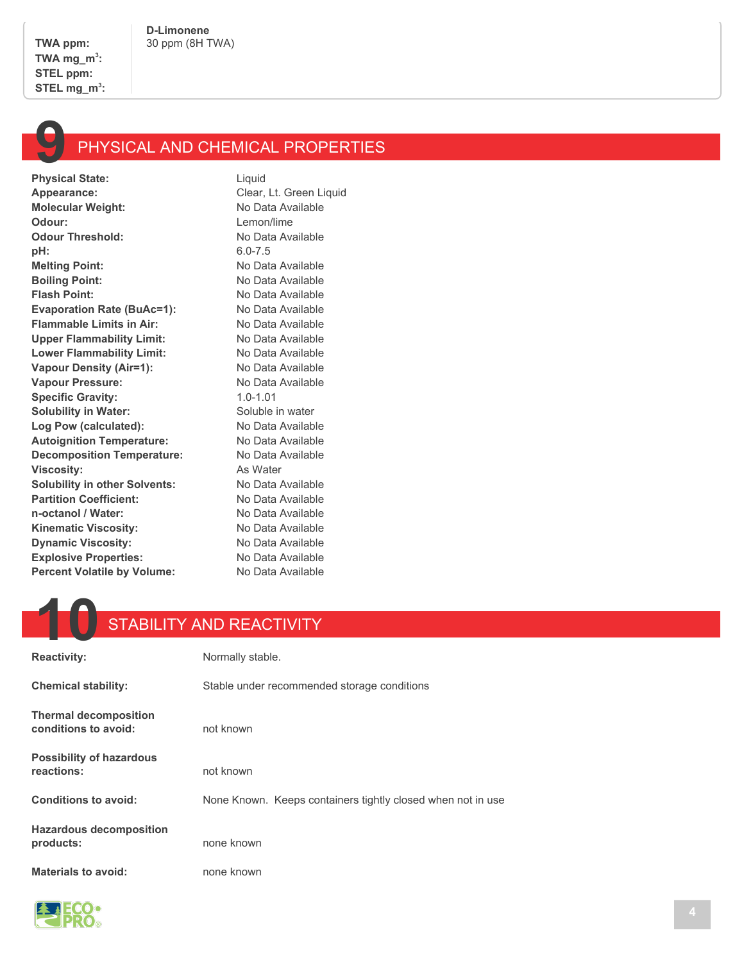

**Physical State:** Appearance: Clear, Lt. Green Liquid **Molecular Weight:** No Data Available **Odour:** Lemon/lime **Odour Threshold:** No Data Available **pH:** 6.0-7.5 **Melting Point:** No Data Available **Boiling Point:** No Data Available **Flash Point:** No Data Available **Evaporation Rate (BuAc=1):** No Data Available **Flammable Limits in Air:** No Data Available Upper Flammability Limit: No Data Available Lower Flammability Limit: No Data Available **Vapour Density (Air=1):** No Data Available Vapour Pressure: No Data Available **Specific Gravity:** 1.0-1.01 **Solubility in Water:** Soluble in water Log Pow (calculated): No Data Available Autoignition Temperature: No Data Available **Decomposition Temperature:** No Data Available **Viscosity:** As Water **Solubility in other Solvents:** No Data Available Partition Coefficient: No Data Available **n-octanol / Water:** No Data Available Kinematic Viscosity: No Data Available **Dynamic Viscosity:** No Data Available **Explosive Properties:** No Data Available **Percent Volatile by Volume:** No Data Available

#### **10** STABILITY AND REACTIVITY

| <b>Reactivity:</b>                                   | Normally stable.                                            |
|------------------------------------------------------|-------------------------------------------------------------|
| <b>Chemical stability:</b>                           | Stable under recommended storage conditions                 |
| <b>Thermal decomposition</b><br>conditions to avoid: | not known                                                   |
| <b>Possibility of hazardous</b><br>reactions:        | not known                                                   |
| <b>Conditions to avoid:</b>                          | None Known. Keeps containers tightly closed when not in use |
| <b>Hazardous decomposition</b><br>products:          | none known                                                  |
| <b>Materials to avoid:</b>                           | none known                                                  |

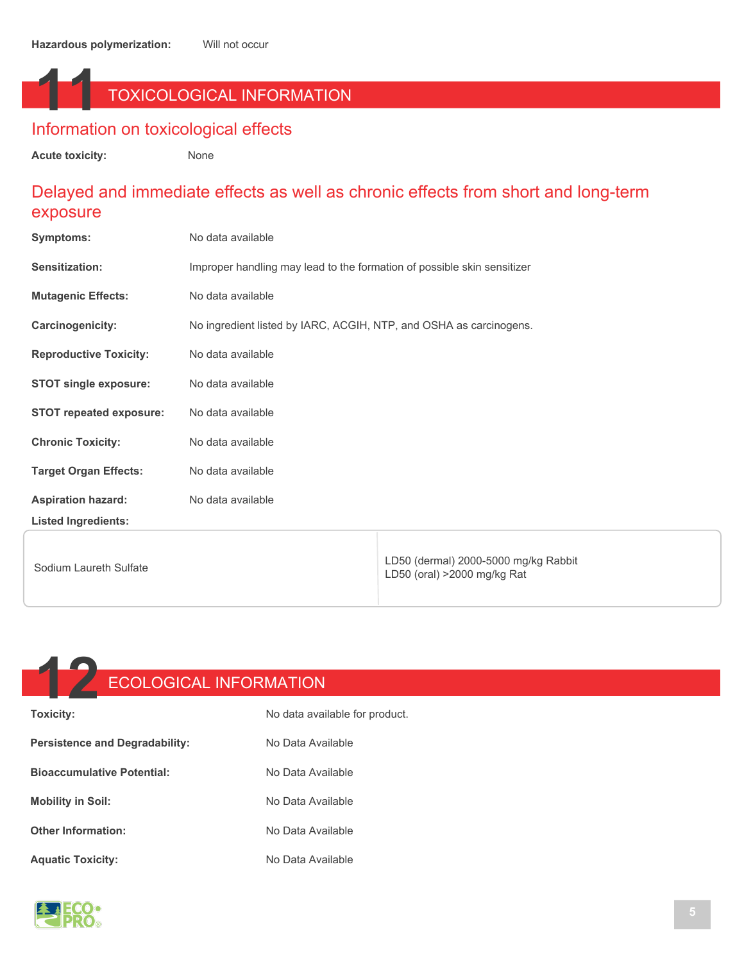## **11** TOXICOLOGICAL INFORMATION

#### Information on toxicological effects

**Acute toxicity:** None

#### Delayed and immediate effects as well as chronic effects from short and long-term exposure

| <b>Symptoms:</b>               | No data available                                                       |                                                                     |
|--------------------------------|-------------------------------------------------------------------------|---------------------------------------------------------------------|
| Sensitization:                 | Improper handling may lead to the formation of possible skin sensitizer |                                                                     |
| <b>Mutagenic Effects:</b>      | No data available                                                       |                                                                     |
| Carcinogenicity:               | No ingredient listed by IARC, ACGIH, NTP, and OSHA as carcinogens.      |                                                                     |
| <b>Reproductive Toxicity:</b>  | No data available                                                       |                                                                     |
| <b>STOT single exposure:</b>   | No data available                                                       |                                                                     |
| <b>STOT repeated exposure:</b> | No data available                                                       |                                                                     |
| <b>Chronic Toxicity:</b>       | No data available                                                       |                                                                     |
| <b>Target Organ Effects:</b>   | No data available                                                       |                                                                     |
| <b>Aspiration hazard:</b>      | No data available                                                       |                                                                     |
| <b>Listed Ingredients:</b>     |                                                                         |                                                                     |
| Sodium Laureth Sulfate         |                                                                         | LD50 (dermal) 2000-5000 mg/kg Rabbit<br>LD50 (oral) >2000 mg/kg Rat |



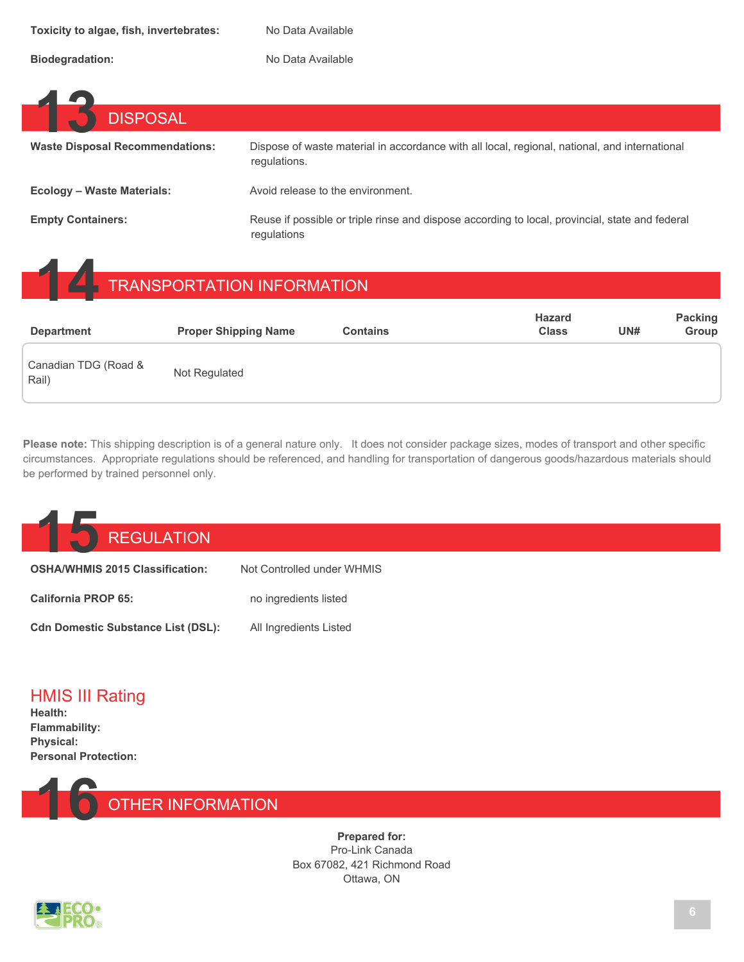Biodegradation: No Data Available

| <b>DISPOSAL</b>                        |                                                                                                                |
|----------------------------------------|----------------------------------------------------------------------------------------------------------------|
| <b>Waste Disposal Recommendations:</b> | Dispose of waste material in accordance with all local, regional, national, and international<br>requlations.  |
| <b>Ecology - Waste Materials:</b>      | Avoid release to the environment.                                                                              |
| <b>Empty Containers:</b>               | Reuse if possible or triple rinse and dispose according to local, provincial, state and federal<br>regulations |

# **14** TRANSPORTATION INFORMATION

| <b>Department</b>             | <b>Proper Shipping Name</b> | <b>Contains</b> | <b>Hazard</b><br><b>Class</b> | UN# | <b>Packing</b><br>Group |
|-------------------------------|-----------------------------|-----------------|-------------------------------|-----|-------------------------|
| Canadian TDG (Road &<br>Rail) | Not Regulated               |                 |                               |     |                         |

**Please note:** This shipping description is of a general nature only. It does not consider package sizes, modes of transport and other specific circumstances. Appropriate regulations should be referenced, and handling for transportation of dangerous goods/hazardous materials should be performed by trained personnel only.



| <b>UUI INTERNATIONAL LUI DE CHANGE ANNUIT ANNUIT ANNUIT ANNUIT ANNUIT ANNUIT ANNUIT ANNUIT ANNUIT ANNUIT ANNUIT A</b> | TVUL QUITILIQIIGU UHUGI YYI IIV |
|-----------------------------------------------------------------------------------------------------------------------|---------------------------------|
| <b>California PROP 65:</b>                                                                                            | no ingredients listed           |
| <b>Cdn Domestic Substance List (DSL):</b>                                                                             | All Ingredients Listed          |





**Prepared for:** Pro-Link Canada Box 67082, 421 Richmond Road Ottawa, ON